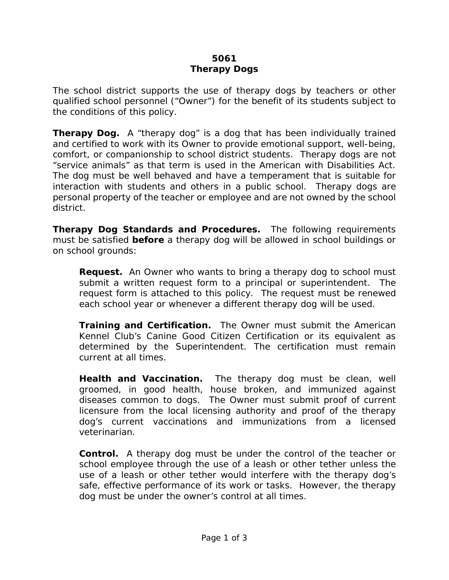## **5061 Therapy Dogs**

The school district supports the use of therapy dogs by teachers or other qualified school personnel ("Owner") for the benefit of its students subject to the conditions of this policy.

**Therapy Dog.** A "therapy dog" is a dog that has been individually trained and certified to work with its Owner to provide emotional support, well-being, comfort, or companionship to school district students. Therapy dogs are not "service animals" as that term is used in the American with Disabilities Act. The dog must be well behaved and have a temperament that is suitable for interaction with students and others in a public school. Therapy dogs are personal property of the teacher or employee and are not owned by the school district.

**Therapy Dog Standards and Procedures.** The following requirements must be satisfied *before* a therapy dog will be allowed in school buildings or on school grounds:

**Request.** An Owner who wants to bring a therapy dog to school must submit a written request form to a principal or superintendent. The request form is attached to this policy. The request must be renewed each school year or whenever a different therapy dog will be used.

**Training and Certification.** The Owner must submit the American Kennel Club's Canine Good Citizen Certification or its equivalent as determined by the Superintendent. The certification must remain current at all times.

**Health and Vaccination.** The therapy dog must be clean, well groomed, in good health, house broken, and immunized against diseases common to dogs. The Owner must submit proof of current licensure from the local licensing authority and proof of the therapy dog's current vaccinations and immunizations from a licensed veterinarian.

**Control.** A therapy dog must be under the control of the teacher or school employee through the use of a leash or other tether unless the use of a leash or other tether would interfere with the therapy dog's safe, effective performance of its work or tasks. However, the therapy dog must be under the owner's control at all times.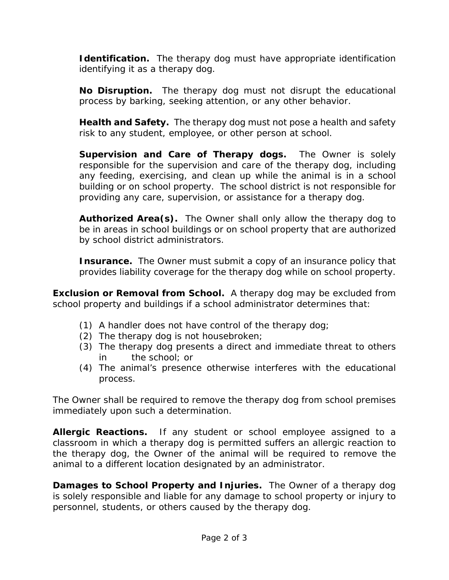**Identification.** The therapy dog must have appropriate identification identifying it as a therapy dog.

**No Disruption.** The therapy dog must not disrupt the educational process by barking, seeking attention, or any other behavior.

**Health and Safety.** The therapy dog must not pose a health and safety risk to any student, employee, or other person at school.

**Supervision and Care of Therapy dogs.** The Owner is solely responsible for the supervision and care of the therapy dog, including any feeding, exercising, and clean up while the animal is in a school building or on school property. The school district is not responsible for providing any care, supervision, or assistance for a therapy dog.

**Authorized Area(s).** The Owner shall only allow the therapy dog to be in areas in school buildings or on school property that are authorized by school district administrators.

**Insurance.** The Owner must submit a copy of an insurance policy that provides liability coverage for the therapy dog while on school property.

**Exclusion or Removal from School.** A therapy dog may be excluded from school property and buildings if a school administrator determines that:

- (1) A handler does not have control of the therapy dog;
- (2) The therapy dog is not housebroken;
- (3) The therapy dog presents a direct and immediate threat to others in the school; or
- (4) The animal's presence otherwise interferes with the educational process.

The Owner shall be required to remove the therapy dog from school premises immediately upon such a determination.

**Allergic Reactions.** If any student or school employee assigned to a classroom in which a therapy dog is permitted suffers an allergic reaction to the therapy dog, the Owner of the animal will be required to remove the animal to a different location designated by an administrator.

**Damages to School Property and Injuries.** The Owner of a therapy dog is solely responsible and liable for any damage to school property or injury to personnel, students, or others caused by the therapy dog.